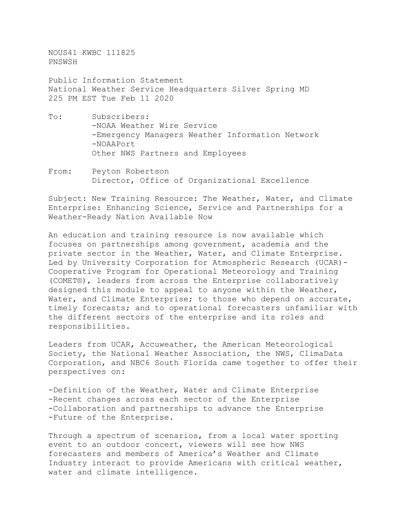NOUS41 KWBC 111825 PNSWSH

Public Information Statement National Weather Service Headquarters Silver Spring MD 225 PM EST Tue Feb 11 2020

- To: Subscribers: -NOAA Weather Wire Service -Emergency Managers Weather Information Network -NOAAPort Other NWS Partners and Employees
- From: Peyton Robertson Director, Office of Organizational Excellence

Subject: New Training Resource: The Weather, Water, and Climate Enterprise: Enhancing Science, Service and Partnerships for a Weather-Ready Nation Available Now

An education and training resource is now available which focuses on partnerships among government, academia and the private sector in the Weather, Water, and Climate Enterprise. Led by University Corporation for Atmospheric Research (UCAR)- Cooperative Program for Operational Meteorology and Training (COMET®), leaders from across the Enterprise collaboratively designed this module to appeal to anyone within the Weather, Water, and Climate Enterprise; to those who depend on accurate, timely forecasts; and to operational forecasters unfamiliar with the different sectors of the enterprise and its roles and responsibilities.

Leaders from UCAR, Accuweather, the American Meteorological Society, the National Weather Association, the NWS, ClimaData Corporation, and NBC6 South Florida came together to offer their perspectives on:

-Definition of the Weather, Water and Climate Enterprise -Recent changes across each sector of the Enterprise -Collaboration and partnerships to advance the Enterprise -Future of the Enterprise.

Through a spectrum of scenarios, from a local water sporting event to an outdoor concert, viewers will see how NWS forecasters and members of America's Weather and Climate Industry interact to provide Americans with critical weather, water and climate intelligence.